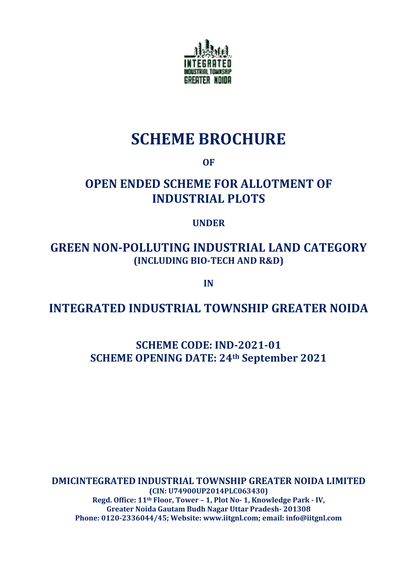

# **SCHEME BROCHURE**

**OF**

## **OPEN ENDED SCHEME FOR ALLOTMENT OF INDUSTRIAL PLOTS**

## **UNDER**

## **GREEN NON-POLLUTING INDUSTRIAL LAND CATEGORY (INCLUDING BIO-TECH AND R&D)**

**IN**

## **INTEGRATED INDUSTRIAL TOWNSHIP GREATER NOIDA**

**SCHEME CODE: IND-2021-01 SCHEME OPENING DATE: 24th September 2021**

**DMICINTEGRATED INDUSTRIAL TOWNSHIP GREATER NOIDA LIMITED (CIN: U74900UP2014PLC063430) Regd. Office: 11th Floor, Tower – 1, Plot No- 1, Knowledge Park - IV, Greater Noida Gautam Budh Nagar Uttar Pradesh- 201308 Phone: 0120-2336044/45; Website: www.iitgnl.com; email: info@iitgnl.com**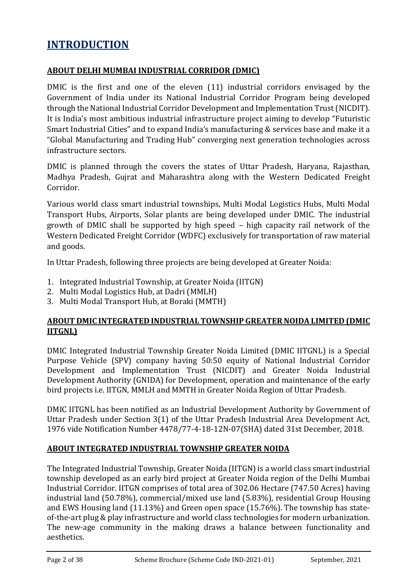## **INTRODUCTION**

#### **ABOUT DELHI MUMBAI INDUSTRIAL CORRIDOR (DMIC)**

DMIC is the first and one of the eleven (11) industrial corridors envisaged by the Government of India under its National Industrial Corridor Program being developed through the National Industrial Corridor Development and Implementation Trust (NICDIT). It is India's most ambitious industrial infrastructure project aiming to develop "Futuristic Smart Industrial Cities" and to expand India's manufacturing & services base and make it a "Global Manufacturing and Trading Hub" converging next generation technologies across infrastructure sectors.

DMIC is planned through the covers the states of Uttar Pradesh, Haryana, Rajasthan, Madhya Pradesh, Gujrat and Maharashtra along with the Western Dedicated Freight Corridor.

Various world class smart industrial townships, Multi Modal Logistics Hubs, Multi Modal Transport Hubs, Airports, Solar plants are being developed under DMIC. The industrial growth of DMIC shall be supported by high speed – high capacity rail network of the Western Dedicated Freight Corridor (WDFC) exclusively for transportation of raw material and goods.

In Uttar Pradesh, following three projects are being developed at Greater Noida:

- 1. Integrated Industrial Township, at Greater Noida (IITGN)
- 2. Multi Modal Logistics Hub, at Dadri (MMLH)
- 3. Multi Modal Transport Hub, at Boraki (MMTH)

#### **ABOUT DMIC INTEGRATED INDUSTRIAL TOWNSHIP GREATER NOIDA LIMITED (DMIC IITGNL)**

DMIC Integrated Industrial Township Greater Noida Limited (DMIC IITGNL) is a Special Purpose Vehicle (SPV) company having 50:50 equity of National Industrial Corridor Development and Implementation Trust (NICDIT) and Greater Noida Industrial Development Authority (GNIDA) for Development, operation and maintenance of the early bird projects i.e. IITGN, MMLH and MMTH in Greater Noida Region of Uttar Pradesh.

DMIC IITGNL has been notified as an Industrial Development Authority by Government of Uttar Pradesh under Section 3(1) of the Uttar Pradesh Industrial Area Development Act, 1976 vide Notification Number 4478/77-4-18-12N-07(SHA) dated 31st December, 2018.

#### **ABOUT INTEGRATED INDUSTRIAL TOWNSHIP GREATER NOIDA**

The Integrated Industrial Township, Greater Noida (IITGN) is a world class smart industrial township developed as an early bird project at Greater Noida region of the Delhi Mumbai Industrial Corridor. IITGN comprises of total area of 302.06 Hectare (747.50 Acres) having industrial land (50.78%), commercial/mixed use land (5.83%), residential Group Housing and EWS Housing land (11.13%) and Green open space (15.76%). The township has stateof-the-art plug & play infrastructure and world class technologies for modern urbanization. The new-age community in the making draws a balance between functionality and aesthetics.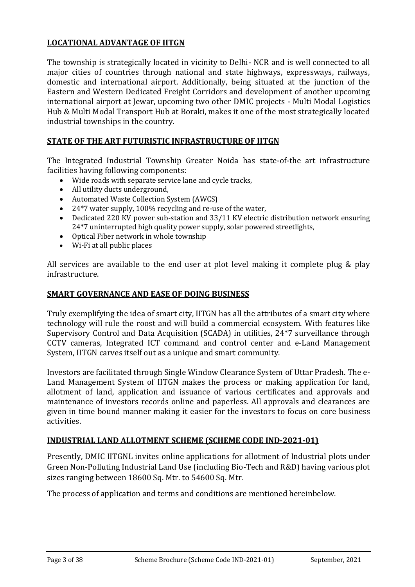## **LOCATIONAL ADVANTAGE OF IITGN**

The township is strategically located in vicinity to Delhi- NCR and is well connected to all major cities of countries through national and state highways, expressways, railways, domestic and international airport. Additionally, being situated at the junction of the Eastern and Western Dedicated Freight Corridors and development of another upcoming international airport at Jewar, upcoming two other DMIC projects - Multi Modal Logistics Hub & Multi Modal Transport Hub at Boraki, makes it one of the most strategically located industrial townships in the country.

## **STATE OF THE ART FUTURISTIC INFRASTRUCTURE OF IITGN**

The Integrated Industrial Township Greater Noida has state-of-the art infrastructure facilities having following components:

- Wide roads with separate service lane and cycle tracks,
- All utility ducts underground,
- Automated Waste Collection System (AWCS)
- 24\*7 water supply, 100% recycling and re-use of the water,
- Dedicated 220 KV power sub-station and 33/11 KV electric distribution network ensuring 24\*7 uninterrupted high quality power supply, solar powered streetlights,
- Optical Fiber network in whole township
- Wi-Fi at all public places

All services are available to the end user at plot level making it complete plug & play infrastructure.

#### **SMART GOVERNANCE AND EASE OF DOING BUSINESS**

Truly exemplifying the idea of smart city, IITGN has all the attributes of a smart city where technology will rule the roost and will build a commercial ecosystem. With features like Supervisory Control and Data Acquisition (SCADA) in utilities, 24\*7 surveillance through CCTV cameras, Integrated ICT command and control center and e-Land Management System, IITGN carves itself out as a unique and smart community.

Investors are facilitated through Single Window Clearance System of Uttar Pradesh. The e-Land Management System of IITGN makes the process or making application for land, allotment of land, application and issuance of various certificates and approvals and maintenance of investors records online and paperless. All approvals and clearances are given in time bound manner making it easier for the investors to focus on core business activities.

#### **INDUSTRIAL LAND ALLOTMENT SCHEME (SCHEME CODE IND-2021-01)**

Presently, DMIC IITGNL invites online applications for allotment of Industrial plots under Green Non-Polluting Industrial Land Use (including Bio-Tech and R&D) having various plot sizes ranging between 18600 Sq. Mtr. to 54600 Sq. Mtr.

The process of application and terms and conditions are mentioned hereinbelow.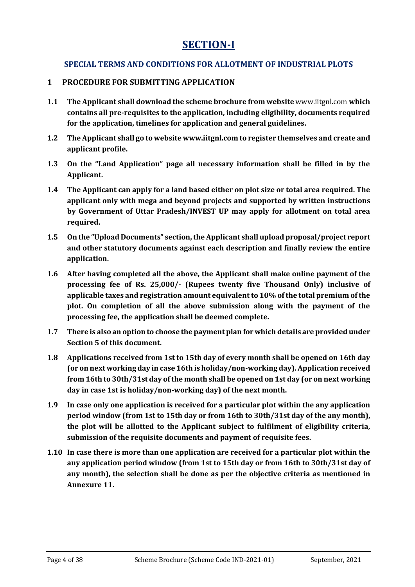## **SECTION-I**

## **SPECIAL TERMS AND CONDITIONS FOR ALLOTMENT OF INDUSTRIAL PLOTS**

#### **1 PROCEDURE FOR SUBMITTING APPLICATION**

- **1.1 The Applicant shall download the scheme brochure from website** [www.iitgnl.com](http://www.iitgnl.com/) **which contains all pre-requisites to the application, including eligibility, documents required for the application, timelines for application and general guidelines.**
- **1.2 The Applicant shall go to websit[e www.iitgnl.com](http://www.iitgnl.com/) to register themselves and create and applicant profile.**
- **1.3 On the "Land Application" page all necessary information shall be filled in by the Applicant.**
- **1.4 The Applicant can apply for a land based either on plot size or total area required. The applicant only with mega and beyond projects and supported by written instructions by Government of Uttar Pradesh/INVEST UP may apply for allotment on total area required.**
- **1.5 On the "Upload Documents" section, the Applicant shall upload proposal/project report and other statutory documents against each description and finally review the entire application.**
- **1.6 After having completed all the above, the Applicant shall make online payment of the processing fee of Rs. 25,000/- (Rupees twenty five Thousand Only) inclusive of applicable taxes and registration amount equivalent to 10% of the total premium of the plot. On completion of all the above submission along with the payment of the processing fee, the application shall be deemed complete.**
- **1.7 There is also an option to choose the payment plan for which details are provided under Section 5 of this document.**
- **1.8 Applications received from 1st to 15th day of every month shall be opened on 16th day (or on next working day in case 16th is holiday/non-working day).Application received from 16th to 30th/31st day of the month shall be opened on 1st day (or on next working day in case 1st is holiday/non-working day) of the next month.**
- **1.9 In case only one application is received for a particular plot within the any application period window (from 1st to 15th day or from 16th to 30th/31st day of the any month), the plot will be allotted to the Applicant subject to fulfilment of eligibility criteria, submission of the requisite documents and payment of requisite fees.**
- **1.10 In case there is more than one application are received for a particular plot within the any application period window (from 1st to 15th day or from 16th to 30th/31st day of any month), the selection shall be done as per the objective criteria as mentioned in Annexure 11.**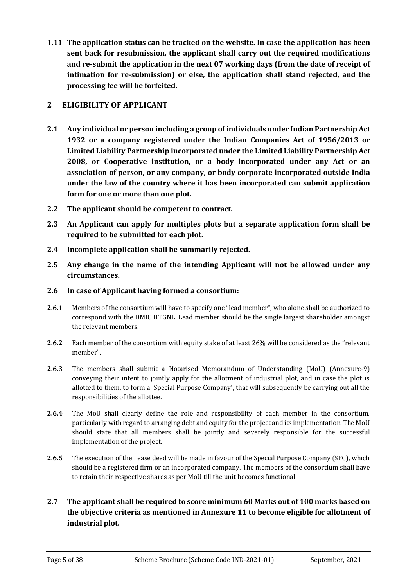**1.11 The application status can be tracked on the website. In case the application has been sent back for resubmission, the applicant shall carry out the required modifications and re-submit the application in the next 07 working days (from the date of receipt of intimation for re-submission) or else, the application shall stand rejected, and the processing fee will be forfeited.**

## **2 ELIGIBILITY OF APPLICANT**

- **2.1 Any individual or person including a group of individuals under Indian Partnership Act 1932 or a company registered under the Indian Companies Act of 1956/2013 or Limited Liability Partnership incorporated under the Limited Liability Partnership Act 2008, or Cooperative institution, or a body incorporated under any Act or an association of person, or any company, or body corporate incorporated outside India under the law of the country where it has been incorporated can submit application form for one or more than one plot.**
- **2.2 The applicant should be competent to contract.**
- **2.3 An Applicant can apply for multiples plots but a separate application form shall be required to be submitted for each plot.**
- **2.4 Incomplete application shall be summarily rejected.**
- **2.5 Any change in the name of the intending Applicant will not be allowed under any circumstances.**
- **2.6 In case of Applicant having formed a consortium:**
- **2.6.1** Members of the consortium will have to specify one "lead member", who alone shall be authorized to correspond with the DMIC IITGNL. Lead member should be the single largest shareholder amongst the relevant members.
- **2.6.2** Each member of the consortium with equity stake of at least 26% will be considered as the "relevant member".
- **2.6.3** The members shall submit a Notarised Memorandum of Understanding (MoU) (Annexure-9) conveying their intent to jointly apply for the allotment of industrial plot, and in case the plot is allotted to them, to form a 'Special Purpose Company', that will subsequently be carrying out all the responsibilities of the allottee.
- **2.6.4** The MoU shall clearly define the role and responsibility of each member in the consortium, particularly with regard to arranging debt and equity for the project and its implementation. The MoU should state that all members shall be jointly and severely responsible for the successful implementation of the project.
- **2.6.5** The execution of the Lease deed will be made in favour of the Special Purpose Company (SPC), which should be a registered firm or an incorporated company. The members of the consortium shall have to retain their respective shares as per MoU till the unit becomes functional
- **2.7 The applicant shall be required to score minimum 60 Marks out of 100 marks based on the objective criteria as mentioned in Annexure 11 to become eligible for allotment of industrial plot.**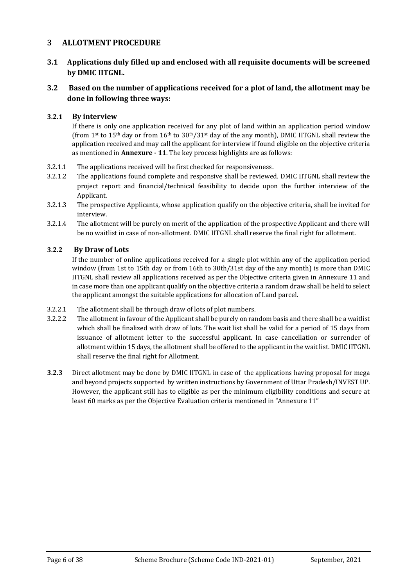#### **3 ALLOTMENT PROCEDURE**

#### **3.1 Applications duly filled up and enclosed with all requisite documents will be screened by DMIC IITGNL.**

#### **3.2 Based on the number of applications received for a plot of land, the allotment may be done in following three ways:**

#### **3.2.1 By interview**

If there is only one application received for any plot of land within an application period window (from 1<sup>st</sup> to 15<sup>th</sup> day or from 16<sup>th</sup> to 30<sup>th</sup>/31<sup>st</sup> day of the any month), DMIC IITGNL shall review the application received and may call the applicant for interview if found eligible on the objective criteria as mentioned in **Annexure - 11**. The key process highlights are as follows:

- 3.2.1.1 The applications received will be first checked for responsiveness.
- 3.2.1.2 The applications found complete and responsive shall be reviewed. DMIC IITGNL shall review the project report and financial/technical feasibility to decide upon the further interview of the Applicant.
- 3.2.1.3 The prospective Applicants, whose application qualify on the objective criteria, shall be invited for interview.
- 3.2.1.4 The allotment will be purely on merit of the application of the prospective Applicant and there will be no waitlist in case of non-allotment. DMIC IITGNL shall reserve the final right for allotment.

#### **3.2.2 By Draw of Lots**

If the number of online applications received for a single plot within any of the application period window (from 1st to 15th day or from 16th to 30th/31st day of the any month) is more than DMIC IITGNL shall review all applications received as per the Objective criteria given in Annexure 11 and in case more than one applicant qualify on the objective criteria a random draw shall be held to select the applicant amongst the suitable applications for allocation of Land parcel.

- 3.2.2.1 The allotment shall be through draw of lots of plot numbers.
- 3.2.2.2 The allotment in favour of the Applicant shall be purely on random basis and there shall be a waitlist which shall be finalized with draw of lots. The wait list shall be valid for a period of 15 days from issuance of allotment letter to the successful applicant. In case cancellation or surrender of allotment within 15 days, the allotment shall be offered to the applicant in the wait list. DMIC IITGNL shall reserve the final right for Allotment.
- **3.2.3** Direct allotment may be done by DMIC IITGNL in case of the applications having proposal for mega and beyond projects supported by written instructions by Government of Uttar Pradesh/INVEST UP. However, the applicant still has to eligible as per the minimum eligibility conditions and secure at least 60 marks as per the Objective Evaluation criteria mentioned in "Annexure 11"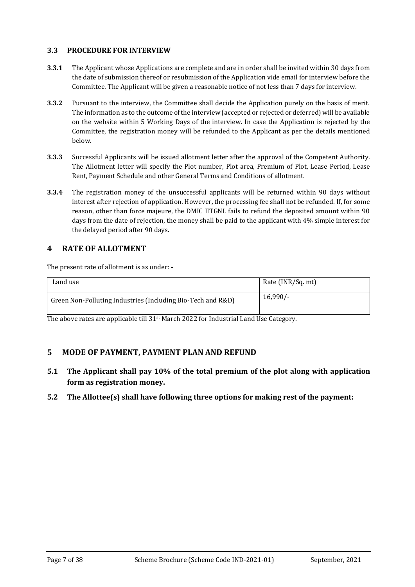#### **3.3 PROCEDURE FOR INTERVIEW**

- **3.3.1** The Applicant whose Applications are complete and are in order shall be invited within 30 days from the date of submission thereof or resubmission of the Application vide email for interview before the Committee. The Applicant will be given a reasonable notice of not less than 7 days for interview.
- **3.3.2** Pursuant to the interview, the Committee shall decide the Application purely on the basis of merit. The information as to the outcome of the interview (accepted or rejected or deferred) will be available on the website within 5 Working Days of the interview. In case the Application is rejected by the Committee, the registration money will be refunded to the Applicant as per the details mentioned below.
- **3.3.3** Successful Applicants will be issued allotment letter after the approval of the Competent Authority. The Allotment letter will specify the Plot number, Plot area, Premium of Plot, Lease Period, Lease Rent, Payment Schedule and other General Terms and Conditions of allotment.
- **3.3.4** The registration money of the unsuccessful applicants will be returned within 90 days without interest after rejection of application. However, the processing fee shall not be refunded. If, for some reason, other than force majeure, the DMIC IITGNL fails to refund the deposited amount within 90 days from the date of rejection, the money shall be paid to the applicant with 4% simple interest for the delayed period after 90 days.

### **4 RATE OF ALLOTMENT**

The present rate of allotment is as under: -

| Land use                                                    | Rate (INR/Sq. mt) |
|-------------------------------------------------------------|-------------------|
| Green Non-Polluting Industries (Including Bio-Tech and R&D) | $16,990/-$        |

The above rates are applicable till  $31<sup>st</sup>$  March 2022 for Industrial Land Use Category.

#### **5 MODE OF PAYMENT, PAYMENT PLAN AND REFUND**

- **5.1 The Applicant shall pay 10% of the total premium of the plot along with application form as registration money.**
- **5.2 The Allottee(s) shall have following three options for making rest of the payment:**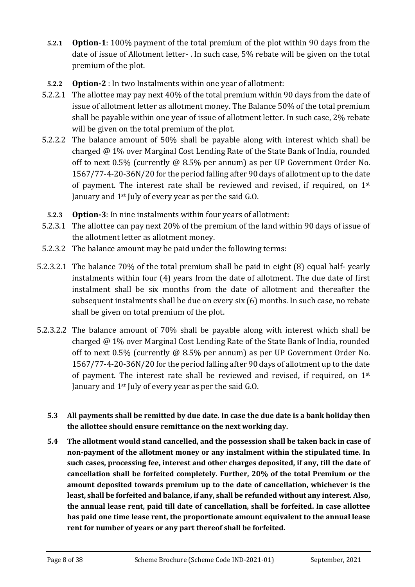- **5.2.1 Option-1**: 100% payment of the total premium of the plot within 90 days from the date of issue of Allotment letter- . In such case, 5% rebate will be given on the total premium of the plot.
- **5.2.2 Option-2** : In two Instalments within one year of allotment:
- 5.2.2.1 The allottee may pay next 40% of the total premium within 90 days from the date of issue of allotment letter as allotment money. The Balance 50% of the total premium shall be payable within one year of issue of allotment letter. In such case, 2% rebate will be given on the total premium of the plot.
- 5.2.2.2 The balance amount of 50% shall be payable along with interest which shall be charged @ 1% over Marginal Cost Lending Rate of the State Bank of India, rounded off to next 0.5% (currently @ 8.5% per annum) as per UP Government Order No. 1567/77-4-20-36N/20 for the period falling after 90 days of allotment up to the date of payment. The interest rate shall be reviewed and revised, if required, on 1st January and 1<sup>st</sup> July of every year as per the said G.O.
- **5.2.3 Option-3**: In nine instalments within four years of allotment:
- 5.2.3.1 The allottee can pay next 20% of the premium of the land within 90 days of issue of the allotment letter as allotment money.
- 5.2.3.2 The balance amount may be paid under the following terms:
- 5.2.3.2.1 The balance 70% of the total premium shall be paid in eight (8) equal half- yearly instalments within four (4) years from the date of allotment. The due date of first instalment shall be six months from the date of allotment and thereafter the subsequent instalments shall be due on every six (6) months. In such case, no rebate shall be given on total premium of the plot.
- 5.2.3.2.2 The balance amount of 70% shall be payable along with interest which shall be charged @ 1% over Marginal Cost Lending Rate of the State Bank of India, rounded off to next 0.5% (currently @ 8.5% per annum) as per UP Government Order No. 1567/77-4-20-36N/20 for the period falling after 90 days of allotment up to the date of payment. The interest rate shall be reviewed and revised, if required, on 1st January and 1st July of every year as per the said G.O.
	- **5.3 All payments shall be remitted by due date. In case the due date is a bank holiday then the allottee should ensure remittance on the next working day.**
	- **5.4 The allotment would stand cancelled, and the possession shall be taken back in case of non-payment of the allotment money or any instalment within the stipulated time. In such cases, processing fee, interest and other charges deposited, if any, till the date of cancellation shall be forfeited completely. Further, 20% of the total Premium or the amount deposited towards premium up to the date of cancellation, whichever is the least, shall be forfeited and balance, if any, shall be refunded without any interest. Also, the annual lease rent, paid till date of cancellation, shall be forfeited. In case allottee has paid one time lease rent, the proportionate amount equivalent to the annual lease rent for number of years or any part thereof shall be forfeited.**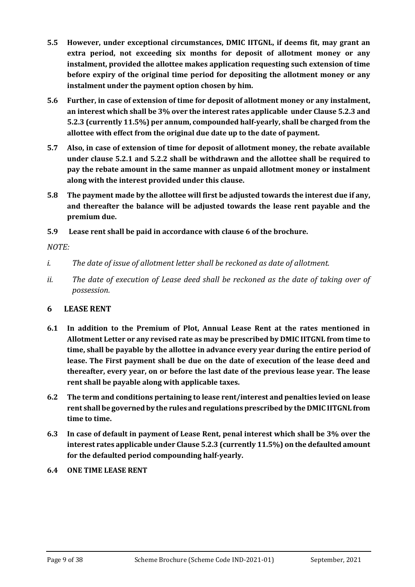- **5.5 However, under exceptional circumstances, DMIC IITGNL, if deems fit, may grant an extra period, not exceeding six months for deposit of allotment money or any instalment, provided the allottee makes application requesting such extension of time before expiry of the original time period for depositing the allotment money or any instalment under the payment option chosen by him.**
- **5.6 Further, in case of extension of time for deposit of allotment money or any instalment, an interest which shall be 3% over the interest rates applicable under Clause 5.2.3 and 5.2.3 (currently 11.5%) per annum, compounded half-yearly, shall be charged from the allottee with effect from the original due date up to the date of payment.**
- **5.7 Also, in case of extension of time for deposit of allotment money, the rebate available under clause 5.2.1 and 5.2.2 shall be withdrawn and the allottee shall be required to pay the rebate amount in the same manner as unpaid allotment money or instalment along with the interest provided under this clause.**
- **5.8 The payment made by the allottee will first be adjusted towards the interest due if any, and thereafter the balance will be adjusted towards the lease rent payable and the premium due.**
- **5.9 Lease rent shall be paid in accordance with clause 6 of the brochure.**

## *NOTE:*

- *i. The date of issue of allotment letter shall be reckoned as date of allotment.*
- *ii. The date of execution of Lease deed shall be reckoned as the date of taking over of possession.*

## **6 LEASE RENT**

- **6.1 In addition to the Premium of Plot, Annual Lease Rent at the rates mentioned in Allotment Letter or any revised rate as may be prescribed by DMIC IITGNL from time to time, shall be payable by the allottee in advance every year during the entire period of lease. The First payment shall be due on the date of execution of the lease deed and thereafter, every year, on or before the last date of the previous lease year. The lease rent shall be payable along with applicable taxes.**
- **6.2 The term and conditions pertaining to lease rent/interest and penalties levied on lease rent shall be governed by the rules and regulations prescribed by the DMIC IITGNL from time to time.**
- **6.3 In case of default in payment of Lease Rent, penal interest which shall be 3% over the interest rates applicable under Clause 5.2.3 (currently 11.5%) on the defaulted amount for the defaulted period compounding half-yearly.**
- **6.4 ONE TIME LEASE RENT**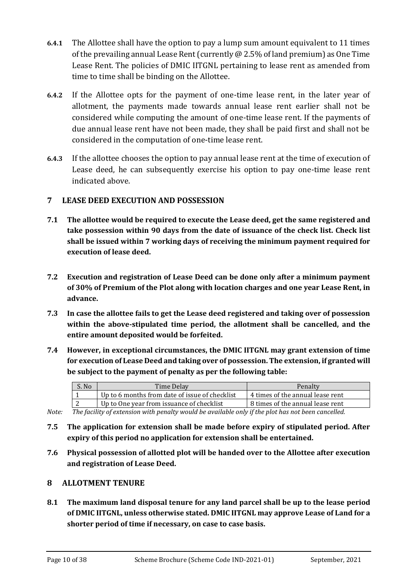- **6.4.1** The Allottee shall have the option to pay a lump sum amount equivalent to 11 times of the prevailing annual Lease Rent (currently @ 2.5% of land premium) as One Time Lease Rent. The policies of DMIC IITGNL pertaining to lease rent as amended from time to time shall be binding on the Allottee.
- **6.4.2** If the Allottee opts for the payment of one-time lease rent, in the later year of allotment, the payments made towards annual lease rent earlier shall not be considered while computing the amount of one-time lease rent. If the payments of due annual lease rent have not been made, they shall be paid first and shall not be considered in the computation of one-time lease rent.
- **6.4.3** If the allottee chooses the option to pay annual lease rent at the time of execution of Lease deed, he can subsequently exercise his option to pay one-time lease rent indicated above.

### **7 LEASE DEED EXECUTION AND POSSESSION**

- **7.1 The allottee would be required to execute the Lease deed, get the same registered and take possession within 90 days from the date of issuance of the check list. Check list shall be issued within 7 working days of receiving the minimum payment required for execution of lease deed.**
- **7.2 Execution and registration of Lease Deed can be done only after a minimum payment of 30% of Premium of the Plot along with location charges and one year Lease Rent, in advance.**
- **7.3 In case the allottee fails to get the Lease deed registered and taking over of possession within the above-stipulated time period, the allotment shall be cancelled, and the entire amount deposited would be forfeited.**
- **7.4 However, in exceptional circumstances, the DMIC IITGNL may grant extension of time for execution of Lease Deed and taking over of possession. The extension, if granted will be subject to the payment of penalty as per the following table:**

| S. No | Time Delay                                     | Penalty                          |
|-------|------------------------------------------------|----------------------------------|
|       | Up to 6 months from date of issue of checklist | 4 times of the annual lease rent |
| ▵     | Up to One year from issuance of checklist      | 8 times of the annual lease rent |

*Note: The facility of extension with penalty would be available only if the plot has not been cancelled.* 

- **7.5 The application for extension shall be made before expiry of stipulated period. After expiry of this period no application for extension shall be entertained.**
- **7.6 Physical possession of allotted plot will be handed over to the Allottee after execution and registration of Lease Deed.**

#### **8 ALLOTMENT TENURE**

**8.1 The maximum land disposal tenure for any land parcel shall be up to the lease period of DMIC IITGNL, unless otherwise stated. DMIC IITGNL may approve Lease of Land for a shorter period of time if necessary, on case to case basis.**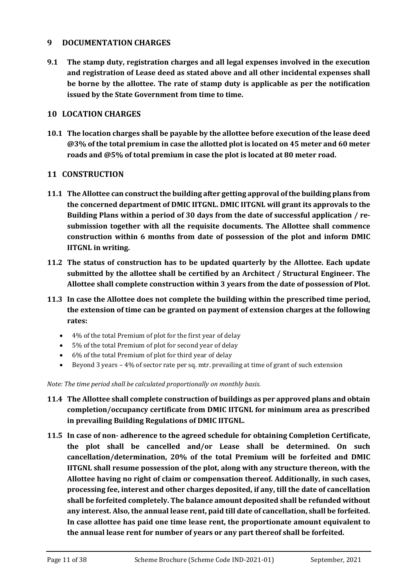#### **9 DOCUMENTATION CHARGES**

**9.1 The stamp duty, registration charges and all legal expenses involved in the execution and registration of Lease deed as stated above and all other incidental expenses shall be borne by the allottee. The rate of stamp duty is applicable as per the notification issued by the State Government from time to time.** 

#### **10 LOCATION CHARGES**

**10.1 The location charges shall be payable by the allottee before execution of the lease deed @3% of the total premium in case the allotted plot is located on 45 meter and 60 meter roads and @5% of total premium in case the plot is located at 80 meter road.**

#### **11 CONSTRUCTION**

- **11.1 The Allottee can construct the building after getting approval of the building plans from the concerned department of DMIC IITGNL. DMIC IITGNL will grant its approvals to the Building Plans within a period of 30 days from the date of successful application / resubmission together with all the requisite documents. The Allottee shall commence construction within 6 months from date of possession of the plot and inform DMIC IITGNL in writing.**
- **11.2 The status of construction has to be updated quarterly by the Allottee. Each update submitted by the allottee shall be certified by an Architect / Structural Engineer. The Allottee shall complete construction within 3 years from the date of possession of Plot.**
- **11.3 In case the Allottee does not complete the building within the prescribed time period, the extension of time can be granted on payment of extension charges at the following rates:**
	- 4% of the total Premium of plot for the first year of delay
	- 5% of the total Premium of plot for second year of delay
	- 6% of the total Premium of plot for third year of delay
	- Beyond 3 years 4% of sector rate per sq. mtr. prevailing at time of grant of such extension

*Note: The time period shall be calculated proportionally on monthly basis.*

- **11.4 The Allottee shall complete construction of buildings as per approved plans and obtain completion/occupancy certificate from DMIC IITGNL for minimum area as prescribed in prevailing Building Regulations of DMIC IITGNL.**
- **11.5 In case of non- adherence to the agreed schedule for obtaining Completion Certificate, the plot shall be cancelled and/or Lease shall be determined. On such cancellation/determination, 20% of the total Premium will be forfeited and DMIC IITGNL shall resume possession of the plot, along with any structure thereon, with the Allottee having no right of claim or compensation thereof. Additionally, in such cases, processing fee, interest and other charges deposited, if any, till the date of cancellation shall be forfeited completely. The balance amount deposited shall be refunded without any interest. Also, the annual lease rent, paid till date of cancellation, shall be forfeited. In case allottee has paid one time lease rent, the proportionate amount equivalent to the annual lease rent for number of years or any part thereof shall be forfeited.**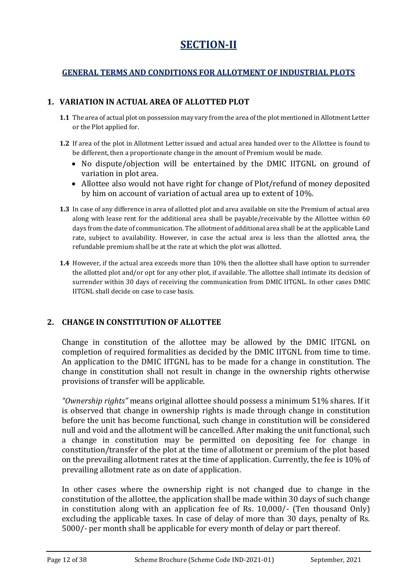## **SECTION-II**

## **GENERAL TERMS AND CONDITIONS FOR ALLOTMENT OF INDUSTRIAL PLOTS**

## **1. VARIATION IN ACTUAL AREA OF ALLOTTED PLOT**

- **1.1** The area of actual plot on possession may vary from the area of the plot mentioned in Allotment Letter or the Plot applied for.
- **1.2** If area of the plot in Allotment Letter issued and actual area handed over to the Allottee is found to be different, then a proportionate change in the amount of Premium would be made.
	- No dispute/objection will be entertained by the DMIC IITGNL on ground of variation in plot area.
	- Allottee also would not have right for change of Plot/refund of money deposited by him on account of variation of actual area up to extent of 10%.
- **1.3** In case of any difference in area of allotted plot and area available on site the Premium of actual area along with lease rent for the additional area shall be payable/receivable by the Allottee within 60 days from the date of communication. The allotment of additional area shall be at the applicable Land rate, subject to availability. However, in case the actual area is less than the allotted area, the refundable premium shall be at the rate at which the plot was allotted.
- **1.4** However, if the actual area exceeds more than 10% then the allottee shall have option to surrender the allotted plot and/or opt for any other plot, if available. The allottee shall intimate its decision of surrender within 30 days of receiving the communication from DMIC IITGNL. In other cases DMIC IITGNL shall decide on case to case basis.

## **2. CHANGE IN CONSTITUTION OF ALLOTTEE**

Change in constitution of the allottee may be allowed by the DMIC IITGNL on completion of required formalities as decided by the DMIC IITGNL from time to time. An application to the DMIC IITGNL has to be made for a change in constitution. The change in constitution shall not result in change in the ownership rights otherwise provisions of transfer will be applicable.

*"Ownership rights"* means original allottee should possess a minimum 51% shares. If it is observed that change in ownership rights is made through change in constitution before the unit has become functional, such change in constitution will be considered null and void and the allotment will be cancelled. After making the unit functional, such a change in constitution may be permitted on depositing fee for change in constitution/transfer of the plot at the time of allotment or premium of the plot based on the prevailing allotment rates at the time of application. Currently, the fee is 10% of prevailing allotment rate as on date of application.

In other cases where the ownership right is not changed due to change in the constitution of the allottee, the application shall be made within 30 days of such change in constitution along with an application fee of Rs. 10,000/- (Ten thousand Only) excluding the applicable taxes. In case of delay of more than 30 days, penalty of Rs. 5000/- per month shall be applicable for every month of delay or part thereof.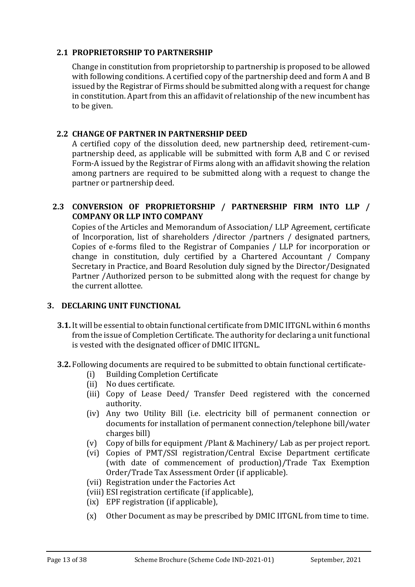## **2.1 PROPRIETORSHIP TO PARTNERSHIP**

Change in constitution from proprietorship to partnership is proposed to be allowed with following conditions. A certified copy of the partnership deed and form A and B issued by the Registrar of Firms should be submitted along with a request for change in constitution. Apart from this an affidavit of relationship of the new incumbent has to be given.

#### **2.2 CHANGE OF PARTNER IN PARTNERSHIP DEED**

A certified copy of the dissolution deed, new partnership deed, retirement-cumpartnership deed, as applicable will be submitted with form A,B and C or revised Form-A issued by the Registrar of Firms along with an affidavit showing the relation among partners are required to be submitted along with a request to change the partner or partnership deed.

## **2.3 CONVERSION OF PROPRIETORSHIP / PARTNERSHIP FIRM INTO LLP / COMPANY OR LLP INTO COMPANY**

Copies of the Articles and Memorandum of Association/ LLP Agreement, certificate of Incorporation, list of shareholders /director /partners / designated partners, Copies of e-forms filed to the Registrar of Companies / LLP for incorporation or change in constitution, duly certified by a Chartered Accountant / Company Secretary in Practice, and Board Resolution duly signed by the Director/Designated Partner /Authorized person to be submitted along with the request for change by the current allottee.

#### **3. DECLARING UNIT FUNCTIONAL**

- **3.1.**It will be essential to obtain functional certificate from DMIC IITGNL within 6 months from the issue of Completion Certificate. The authority for declaring a unit functional is vested with the designated officer of DMIC IITGNL.
- **3.2.** Following documents are required to be submitted to obtain functional certificate-
	- (i) Building Completion Certificate
	- (ii) No dues certificate.
	- (iii) Copy of Lease Deed/ Transfer Deed registered with the concerned authority.
	- (iv) Any two Utility Bill (i.e. electricity bill of permanent connection or documents for installation of permanent connection/telephone bill/water charges bill)
	- (v) Copy of bills for equipment /Plant & Machinery/ Lab as per project report.
	- (vi) Copies of PMT/SSI registration/Central Excise Department certificate (with date of commencement of production)/Trade Tax Exemption Order/Trade Tax Assessment Order (if applicable).
	- (vii) Registration under the Factories Act
	- (viii) ESI registration certificate (if applicable),
	- (ix) EPF registration (if applicable),
	- (x) Other Document as may be prescribed by DMIC IITGNL from time to time.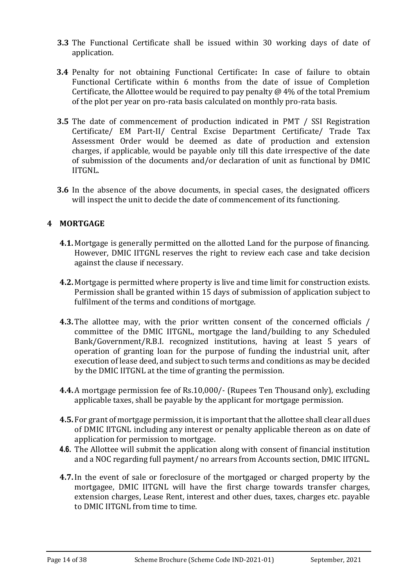- **3.3** The Functional Certificate shall be issued within 30 working days of date of application.
- **3.4** Penalty for not obtaining Functional Certificate**:** In case of failure to obtain Functional Certificate within 6 months from the date of issue of Completion Certificate, the Allottee would be required to pay penalty  $\omega$  4% of the total Premium of the plot per year on pro-rata basis calculated on monthly pro-rata basis.
- **3.5** The date of commencement of production indicated in PMT / SSI Registration Certificate/ EM Part-II/ Central Excise Department Certificate/ Trade Tax Assessment Order would be deemed as date of production and extension charges, if applicable, would be payable only till this date irrespective of the date of submission of the documents and/or declaration of unit as functional by DMIC IITGNL.
- **3.6** In the absence of the above documents, in special cases, the designated officers will inspect the unit to decide the date of commencement of its functioning.

### **4 MORTGAGE**

- **4.1.** Mortgage is generally permitted on the allotted Land for the purpose of financing. However, DMIC IITGNL reserves the right to review each case and take decision against the clause if necessary.
- **4.2.** Mortgage is permitted where property is live and time limit for construction exists. Permission shall be granted within 15 days of submission of application subject to fulfilment of the terms and conditions of mortgage.
- **4.3.** The allottee may, with the prior written consent of the concerned officials / committee of the DMIC IITGNL, mortgage the land/building to any Scheduled Bank/Government/R.B.I. recognized institutions, having at least 5 years of operation of granting loan for the purpose of funding the industrial unit, after execution of lease deed, and subject to such terms and conditions as may be decided by the DMIC IITGNL at the time of granting the permission.
- **4.4.** A mortgage permission fee of Rs.10,000/- (Rupees Ten Thousand only), excluding applicable taxes, shall be payable by the applicant for mortgage permission.
- **4.5.** For grant of mortgage permission, it is important that the allottee shall clear all dues of DMIC IITGNL including any interest or penalty applicable thereon as on date of application for permission to mortgage.
- **4.6.** The Allottee will submit the application along with consent of financial institution and a NOC regarding full payment/ no arrears from Accounts section, DMIC IITGNL.
- **4.7.**In the event of sale or foreclosure of the mortgaged or charged property by the mortgagee, DMIC IITGNL will have the first charge towards transfer charges, extension charges, Lease Rent, interest and other dues, taxes, charges etc. payable to DMIC IITGNL from time to time.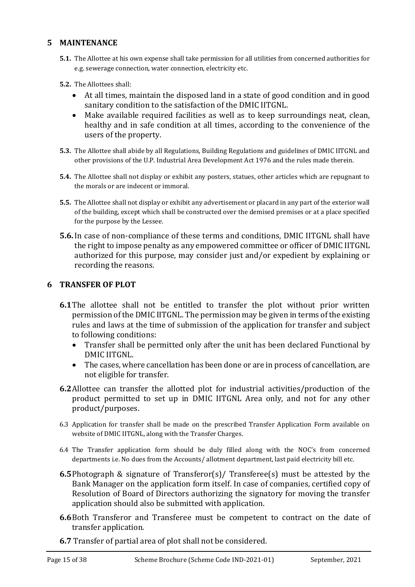## **5 MAINTENANCE**

- **5.1.** The Allottee at his own expense shall take permission for all utilities from concerned authorities for e.g. sewerage connection, water connection, electricity etc.
- **5.2.** The Allottees shall:
	- At all times, maintain the disposed land in a state of good condition and in good sanitary condition to the satisfaction of the DMIC IITGNL.
	- Make available required facilities as well as to keep surroundings neat, clean, healthy and in safe condition at all times, according to the convenience of the users of the property.
- **5.3.** The Allottee shall abide by all Regulations, Building Regulations and guidelines of DMIC IITGNL and other provisions of the U.P. Industrial Area Development Act 1976 and the rules made therein.
- **5.4.** The Allottee shall not display or exhibit any posters, statues, other articles which are repugnant to the morals or are indecent or immoral.
- **5.5.** The Allottee shall not display or exhibit any advertisement or placard in any part of the exterior wall of the building, except which shall be constructed over the demised premises or at a place specified for the purpose by the Lessee.
- **5.6.**In case of non-compliance of these terms and conditions, DMIC IITGNL shall have the right to impose penalty as any empowered committee or officer of DMIC IITGNL authorized for this purpose, may consider just and/or expedient by explaining or recording the reasons.

#### **6 TRANSFER OF PLOT**

- **6.1**The allottee shall not be entitled to transfer the plot without prior written permission of the DMIC IITGNL. The permission may be given in terms of the existing rules and laws at the time of submission of the application for transfer and subject to following conditions:
	- Transfer shall be permitted only after the unit has been declared Functional by DMIC IITGNL.
	- The cases, where cancellation has been done or are in process of cancellation, are not eligible for transfer.
- **6.2**Allottee can transfer the allotted plot for industrial activities/production of the product permitted to set up in DMIC IITGNL Area only, and not for any other product/purposes.
- 6.3 Application for transfer shall be made on the prescribed Transfer Application Form available on website of DMIC IITGNL, along with the Transfer Charges.
- 6.4 The Transfer application form should be duly filled along with the NOC's from concerned departments i.e. No dues from the Accounts/ allotment department, last paid electricity bill etc.
- **6.5**Photograph & signature of Transferor(s)/ Transferee(s) must be attested by the Bank Manager on the application form itself. In case of companies, certified copy of Resolution of Board of Directors authorizing the signatory for moving the transfer application should also be submitted with application.
- **6.6**Both Transferor and Transferee must be competent to contract on the date of transfer application.
- **6.7** Transfer of partial area of plot shall not be considered.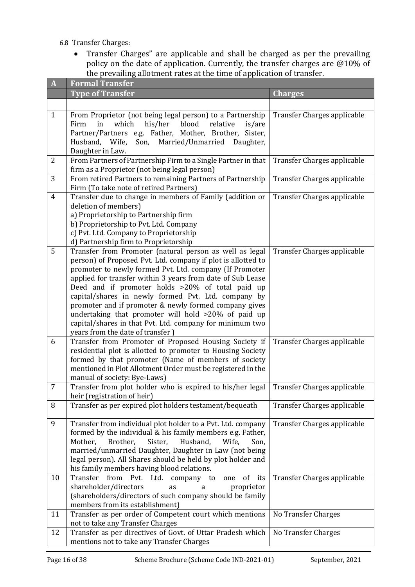- 6.8 Transfer Charges:
	- Transfer Charges" are applicable and shall be charged as per the prevailing policy on the date of application. Currently, the transfer charges are @10% of the prevailing allotment rates at the time of application of transfer.

| $\mathbf{A}$   | <b>Formal Transfer</b>                                                                                                                                                                                                                                                                                                                                                                                                                                                                                                                                                      |                             |  |  |  |
|----------------|-----------------------------------------------------------------------------------------------------------------------------------------------------------------------------------------------------------------------------------------------------------------------------------------------------------------------------------------------------------------------------------------------------------------------------------------------------------------------------------------------------------------------------------------------------------------------------|-----------------------------|--|--|--|
|                | <b>Type of Transfer</b>                                                                                                                                                                                                                                                                                                                                                                                                                                                                                                                                                     | <b>Charges</b>              |  |  |  |
|                |                                                                                                                                                                                                                                                                                                                                                                                                                                                                                                                                                                             |                             |  |  |  |
| $\mathbf{1}$   | From Proprietor (not being legal person) to a Partnership<br>which<br>his/her<br>blood<br>Firm<br>in<br>relative<br>is/are<br>Partner/Partners e.g. Father, Mother, Brother, Sister,<br>Married/Unmarried<br>Husband,<br>Wife,<br>Son,<br>Daughter,<br>Daughter in Law.                                                                                                                                                                                                                                                                                                     | Transfer Charges applicable |  |  |  |
| $\overline{2}$ | From Partners of Partnership Firm to a Single Partner in that<br>firm as a Proprietor (not being legal person)                                                                                                                                                                                                                                                                                                                                                                                                                                                              | Transfer Charges applicable |  |  |  |
| 3              | From retired Partners to remaining Partners of Partnership<br>Firm (To take note of retired Partners)                                                                                                                                                                                                                                                                                                                                                                                                                                                                       | Transfer Charges applicable |  |  |  |
| $\overline{4}$ | Transfer due to change in members of Family (addition or<br>deletion of members)<br>a) Proprietorship to Partnership firm<br>b) Proprietorship to Pvt. Ltd. Company<br>c) Pvt. Ltd. Company to Proprietorship<br>d) Partnership firm to Proprietorship                                                                                                                                                                                                                                                                                                                      | Transfer Charges applicable |  |  |  |
| 5              | Transfer from Promoter (natural person as well as legal<br>person) of Proposed Pvt. Ltd. company if plot is allotted to<br>promoter to newly formed Pvt. Ltd. company (If Promoter<br>applied for transfer within 3 years from date of Sub Lease<br>Deed and if promoter holds >20% of total paid up<br>capital/shares in newly formed Pvt. Ltd. company by<br>promoter and if promoter & newly formed company gives<br>undertaking that promoter will hold >20% of paid up<br>capital/shares in that Pvt. Ltd. company for minimum two<br>years from the date of transfer) | Transfer Charges applicable |  |  |  |
| 6              | Transfer from Promoter of Proposed Housing Society if<br>residential plot is allotted to promoter to Housing Society<br>formed by that promoter (Name of members of society<br>mentioned in Plot Allotment Order must be registered in the<br>manual of society: Bye-Laws)                                                                                                                                                                                                                                                                                                  | Transfer Charges applicable |  |  |  |
| 7              | Transfer from plot holder who is expired to his/her legal<br>heir (registration of heir)                                                                                                                                                                                                                                                                                                                                                                                                                                                                                    | Transfer Charges applicable |  |  |  |
| 8              | Transfer as per expired plot holders testament/bequeath                                                                                                                                                                                                                                                                                                                                                                                                                                                                                                                     | Transfer Charges applicable |  |  |  |
| 9              | Transfer from individual plot holder to a Pvt. Ltd. company<br>formed by the individual & his family members e.g. Father,<br>Mother,<br>Sister,<br>Husband,<br>Brother,<br>Wife,<br>Son,<br>married/unmarried Daughter, Daughter in Law (not being<br>legal person). All Shares should be held by plot holder and<br>his family members having blood relations.                                                                                                                                                                                                             | Transfer Charges applicable |  |  |  |
| 10             | Transfer<br>from<br>of its<br>Pvt.<br>Ltd.<br>company to<br>one<br>shareholder/directors<br>as<br>proprietor<br>a<br>(shareholders/directors of such company should be family<br>members from its establishment)                                                                                                                                                                                                                                                                                                                                                            | Transfer Charges applicable |  |  |  |
| 11             | Transfer as per order of Competent court which mentions<br>not to take any Transfer Charges                                                                                                                                                                                                                                                                                                                                                                                                                                                                                 | No Transfer Charges         |  |  |  |
| 12             | Transfer as per directives of Govt. of Uttar Pradesh which<br>mentions not to take any Transfer Charges                                                                                                                                                                                                                                                                                                                                                                                                                                                                     | <b>No Transfer Charges</b>  |  |  |  |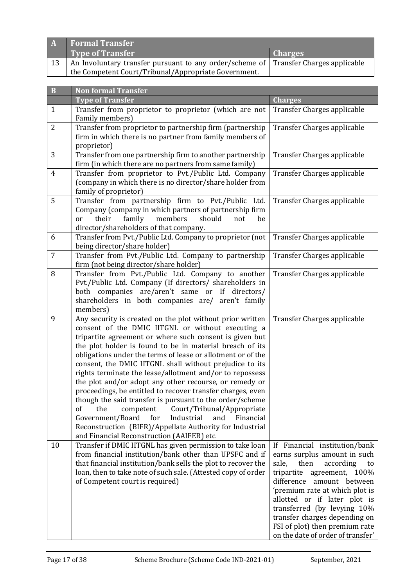|    | <b>Formal Transfer</b>                                                              |                |
|----|-------------------------------------------------------------------------------------|----------------|
|    | Type of Transfer                                                                    | <b>Charges</b> |
| 13 | An Involuntary transfer pursuant to any order/scheme of Transfer Charges applicable |                |
|    | the Competent Court/Tribunal/Appropriate Government.                                |                |

| $\, {\bf B}$   | <b>Non formal Transfer</b>                                                                                                                                                                                                                                                                                                                                                                                                                                                                                                                                                                                                                                                                                                                                                                                                                     |                                                                                                                                                                                                                                                                                                                                                                       |  |  |  |
|----------------|------------------------------------------------------------------------------------------------------------------------------------------------------------------------------------------------------------------------------------------------------------------------------------------------------------------------------------------------------------------------------------------------------------------------------------------------------------------------------------------------------------------------------------------------------------------------------------------------------------------------------------------------------------------------------------------------------------------------------------------------------------------------------------------------------------------------------------------------|-----------------------------------------------------------------------------------------------------------------------------------------------------------------------------------------------------------------------------------------------------------------------------------------------------------------------------------------------------------------------|--|--|--|
|                | <b>Type of Transfer</b>                                                                                                                                                                                                                                                                                                                                                                                                                                                                                                                                                                                                                                                                                                                                                                                                                        | <b>Charges</b>                                                                                                                                                                                                                                                                                                                                                        |  |  |  |
| $\mathbf{1}$   | Transfer from proprietor to proprietor (which are not<br>Family members)                                                                                                                                                                                                                                                                                                                                                                                                                                                                                                                                                                                                                                                                                                                                                                       | Transfer Charges applicable                                                                                                                                                                                                                                                                                                                                           |  |  |  |
| $\overline{2}$ | Transfer from proprietor to partnership firm (partnership<br>firm in which there is no partner from family members of<br>proprietor)                                                                                                                                                                                                                                                                                                                                                                                                                                                                                                                                                                                                                                                                                                           | Transfer Charges applicable                                                                                                                                                                                                                                                                                                                                           |  |  |  |
| 3              | Transfer from one partnership firm to another partnership<br>firm (in which there are no partners from same family)                                                                                                                                                                                                                                                                                                                                                                                                                                                                                                                                                                                                                                                                                                                            | Transfer Charges applicable                                                                                                                                                                                                                                                                                                                                           |  |  |  |
| $\overline{4}$ | Transfer from proprietor to Pvt./Public Ltd. Company<br>(company in which there is no director/share holder from<br>family of proprietor)                                                                                                                                                                                                                                                                                                                                                                                                                                                                                                                                                                                                                                                                                                      | Transfer Charges applicable                                                                                                                                                                                                                                                                                                                                           |  |  |  |
| 5              | Transfer from partnership firm to Pvt./Public Ltd.<br>Company (company in which partners of partnership firm<br>family<br>members<br>should<br>their<br>not<br>be<br>or<br>director/shareholders of that company.                                                                                                                                                                                                                                                                                                                                                                                                                                                                                                                                                                                                                              | Transfer Charges applicable                                                                                                                                                                                                                                                                                                                                           |  |  |  |
| 6              | Transfer from Pvt./Public Ltd. Company to proprietor (not<br>being director/share holder)                                                                                                                                                                                                                                                                                                                                                                                                                                                                                                                                                                                                                                                                                                                                                      | Transfer Charges applicable                                                                                                                                                                                                                                                                                                                                           |  |  |  |
| $\overline{7}$ | Transfer from Pvt./Public Ltd. Company to partnership<br>firm (not being director/share holder)                                                                                                                                                                                                                                                                                                                                                                                                                                                                                                                                                                                                                                                                                                                                                | Transfer Charges applicable                                                                                                                                                                                                                                                                                                                                           |  |  |  |
| 8              | Transfer from Pvt./Public Ltd. Company to another<br>Pvt./Public Ltd. Company (If directors/ shareholders in<br>both companies are/aren't same or If directors/<br>shareholders in both companies are/ aren't family<br>members)                                                                                                                                                                                                                                                                                                                                                                                                                                                                                                                                                                                                               | Transfer Charges applicable                                                                                                                                                                                                                                                                                                                                           |  |  |  |
| 9              | Any security is created on the plot without prior written<br>consent of the DMIC IITGNL or without executing a<br>tripartite agreement or where such consent is given but<br>the plot holder is found to be in material breach of its<br>obligations under the terms of lease or allotment or of the<br>consent, the DMIC IITGNL shall without prejudice to its<br>rights terminate the lease/allotment and/or to repossess<br>the plot and/or adopt any other recourse, or remedy or<br>proceedings, be entitled to recover transfer charges, even<br>though the said transfer is pursuant to the order/scheme<br>of<br>Court/Tribunal/Appropriate<br>the<br>competent<br>Industrial<br>Government/Board<br>for<br>and<br>Financial<br>Reconstruction (BIFR)/Appellate Authority for Industrial<br>and Financial Reconstruction (AAIFER) etc. | Transfer Charges applicable                                                                                                                                                                                                                                                                                                                                           |  |  |  |
| 10             | Transfer if DMIC IITGNL has given permission to take loan<br>from financial institution/bank other than UPSFC and if<br>that financial institution/bank sells the plot to recover the<br>loan, then to take note of such sale. (Attested copy of order<br>of Competent court is required)                                                                                                                                                                                                                                                                                                                                                                                                                                                                                                                                                      | If Financial institution/bank<br>earns surplus amount in such<br>sale,<br>then<br>according<br>to<br>tripartite agreement, 100%<br>difference amount between<br>'premium rate at which plot is<br>allotted or if later plot is<br>transferred (by levying 10%<br>transfer charges depending on<br>FSI of plot) then premium rate<br>on the date of order of transfer' |  |  |  |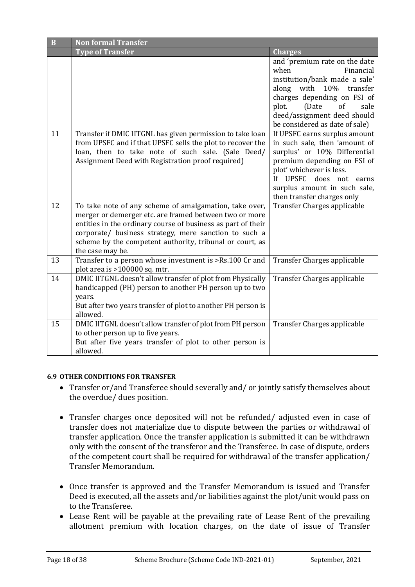| $\bf{B}$ | <b>Non formal Transfer</b>                                                                                                                                                                                                                                                                                                |                                                                                                                                                                                                                                                       |  |  |
|----------|---------------------------------------------------------------------------------------------------------------------------------------------------------------------------------------------------------------------------------------------------------------------------------------------------------------------------|-------------------------------------------------------------------------------------------------------------------------------------------------------------------------------------------------------------------------------------------------------|--|--|
|          | <b>Type of Transfer</b>                                                                                                                                                                                                                                                                                                   | <b>Charges</b>                                                                                                                                                                                                                                        |  |  |
|          |                                                                                                                                                                                                                                                                                                                           | and 'premium rate on the date<br>when<br>Financial<br>institution/bank made a sale'<br>with 10% transfer<br>along<br>charges depending on FSI of<br>(Date<br>of<br>plot.<br>sale<br>deed/assignment deed should<br>be considered as date of sale)     |  |  |
| 11       | Transfer if DMIC IITGNL has given permission to take loan<br>from UPSFC and if that UPSFC sells the plot to recover the<br>loan, then to take note of such sale. (Sale Deed/<br>Assignment Deed with Registration proof required)                                                                                         | If UPSFC earns surplus amount<br>in such sale, then 'amount of<br>surplus' or 10% Differential<br>premium depending on FSI of<br>plot' whichever is less.<br>If UPSFC does not<br>earns<br>surplus amount in such sale,<br>then transfer charges only |  |  |
| 12       | To take note of any scheme of amalgamation, take over,<br>merger or demerger etc. are framed between two or more<br>entities in the ordinary course of business as part of their<br>corporate/ business strategy, mere sanction to such a<br>scheme by the competent authority, tribunal or court, as<br>the case may be. | Transfer Charges applicable                                                                                                                                                                                                                           |  |  |
| 13       | Transfer to a person whose investment is >Rs.100 Cr and<br>plot area is >100000 sq. mtr.                                                                                                                                                                                                                                  | Transfer Charges applicable                                                                                                                                                                                                                           |  |  |
| 14       | DMIC IITGNL doesn't allow transfer of plot from Physically<br>handicapped (PH) person to another PH person up to two<br>years.<br>But after two years transfer of plot to another PH person is<br>allowed.                                                                                                                | Transfer Charges applicable                                                                                                                                                                                                                           |  |  |
| 15       | DMIC IITGNL doesn't allow transfer of plot from PH person<br>to other person up to five years.<br>But after five years transfer of plot to other person is<br>allowed.                                                                                                                                                    | Transfer Charges applicable                                                                                                                                                                                                                           |  |  |

#### **6.9 OTHER CONDITIONS FOR TRANSFER**

- Transfer or/and Transferee should severally and/ or jointly satisfy themselves about the overdue/ dues position.
- Transfer charges once deposited will not be refunded/ adjusted even in case of transfer does not materialize due to dispute between the parties or withdrawal of transfer application. Once the transfer application is submitted it can be withdrawn only with the consent of the transferor and the Transferee. In case of dispute, orders of the competent court shall be required for withdrawal of the transfer application/ Transfer Memorandum.
- Once transfer is approved and the Transfer Memorandum is issued and Transfer Deed is executed, all the assets and/or liabilities against the plot/unit would pass on to the Transferee.
- Lease Rent will be payable at the prevailing rate of Lease Rent of the prevailing allotment premium with location charges, on the date of issue of Transfer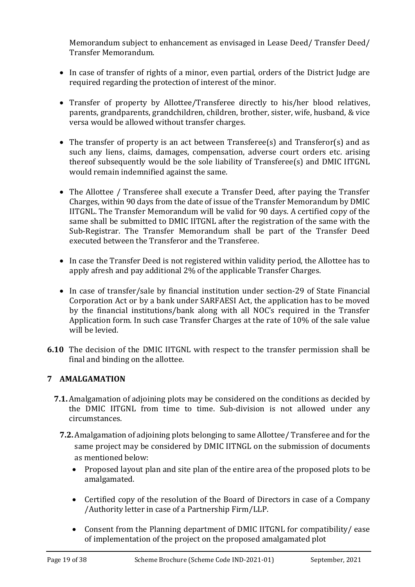Memorandum subject to enhancement as envisaged in Lease Deed/ Transfer Deed/ Transfer Memorandum.

- In case of transfer of rights of a minor, even partial, orders of the District Judge are required regarding the protection of interest of the minor.
- Transfer of property by Allottee/Transferee directly to his/her blood relatives, parents, grandparents, grandchildren, children, brother, sister, wife, husband, & vice versa would be allowed without transfer charges.
- The transfer of property is an act between Transferee(s) and Transferor(s) and as such any liens, claims, damages, compensation, adverse court orders etc. arising thereof subsequently would be the sole liability of Transferee(s) and DMIC IITGNL would remain indemnified against the same.
- The Allottee / Transferee shall execute a Transfer Deed, after paying the Transfer Charges, within 90 days from the date of issue of the Transfer Memorandum by DMIC IITGNL. The Transfer Memorandum will be valid for 90 days. A certified copy of the same shall be submitted to DMIC IITGNL after the registration of the same with the Sub-Registrar. The Transfer Memorandum shall be part of the Transfer Deed executed between the Transferor and the Transferee.
- In case the Transfer Deed is not registered within validity period, the Allottee has to apply afresh and pay additional 2% of the applicable Transfer Charges.
- In case of transfer/sale by financial institution under section-29 of State Financial Corporation Act or by a bank under SARFAESI Act, the application has to be moved by the financial institutions/bank along with all NOC's required in the Transfer Application form. In such case Transfer Charges at the rate of 10% of the sale value will be levied.
- **6.10** The decision of the DMIC IITGNL with respect to the transfer permission shall be final and binding on the allottee.

## **7 AMALGAMATION**

- **7.1.** Amalgamation of adjoining plots may be considered on the conditions as decided by the DMIC IITGNL from time to time. Sub-division is not allowed under any circumstances.
	- **7.2.** Amalgamation of adjoining plots belonging to same Allottee/ Transferee and for the same project may be considered by DMIC IITNGL on the submission of documents as mentioned below:
		- Proposed layout plan and site plan of the entire area of the proposed plots to be amalgamated.
		- Certified copy of the resolution of the Board of Directors in case of a Company /Authority letter in case of a Partnership Firm/LLP.
		- Consent from the Planning department of DMIC IITGNL for compatibility/ ease of implementation of the project on the proposed amalgamated plot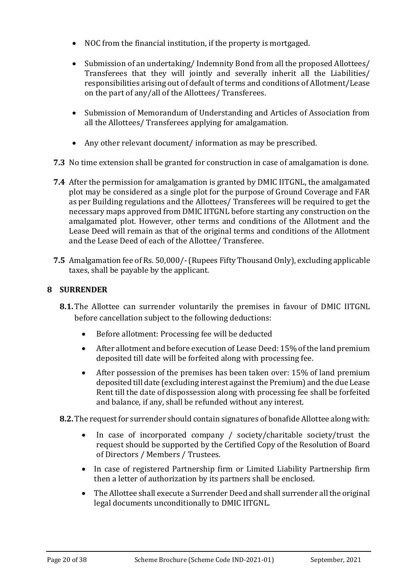- NOC from the financial institution, if the property is mortgaged.
- Submission of an undertaking/Indemnity Bond from all the proposed Allottees/ Transferees that they will jointly and severally inherit all the Liabilities/ responsibilities arising out of default of terms and conditions of Allotment/Lease on the part of any/all of the Allottees/ Transferees.
- Submission of Memorandum of Understanding and Articles of Association from all the Allottees/ Transferees applying for amalgamation.
- Any other relevant document/ information as may be prescribed.
- **7.3** No time extension shall be granted for construction in case of amalgamation is done.
- **7.4** After the permission for amalgamation is granted by DMIC IITGNL, the amalgamated plot may be considered as a single plot for the purpose of Ground Coverage and FAR as per Building regulations and the Allottees/ Transferees will be required to get the necessary maps approved from DMIC IITGNL before starting any construction on the amalgamated plot. However, other terms and conditions of the Allotment and the Lease Deed will remain as that of the original terms and conditions of the Allotment and the Lease Deed of each of the Allottee/ Transferee.
- **7.5** Amalgamation fee of Rs. 50,000/-(Rupees Fifty Thousand Only), excluding applicable taxes, shall be payable by the applicant.

#### **8 SURRENDER**

- **8.1.** The Allottee can surrender voluntarily the premises in favour of DMIC IITGNL before cancellation subject to the following deductions:
	- Before allotment: Processing fee will be deducted
	- After allotment and before execution of Lease Deed: 15% of the land premium deposited till date will be forfeited along with processing fee.
	- After possession of the premises has been taken over: 15% of land premium deposited till date (excluding interest against the Premium) and the due Lease Rent till the date of dispossession along with processing fee shall be forfeited and balance, if any, shall be refunded without any interest.
- **8.2.** The request for surrender should contain signatures of bonafide Allottee along with:
	- In case of incorporated company / society/charitable society/trust the request should be supported by the Certified Copy of the Resolution of Board of Directors / Members / Trustees.
	- In case of registered Partnership firm or Limited Liability Partnership firm then a letter of authorization by its partners shall be enclosed.
	- The Allottee shall execute a Surrender Deed and shall surrender all the original legal documents unconditionally to DMIC IITGNL.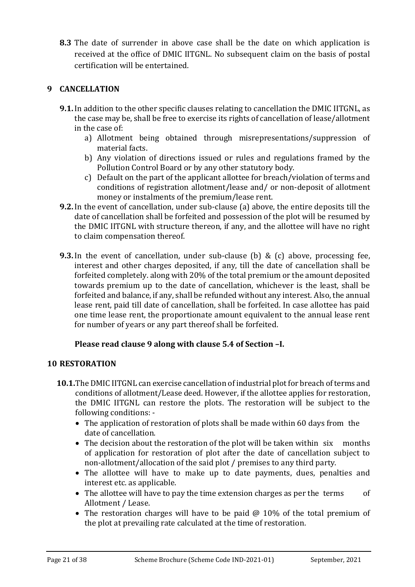**8.3** The date of surrender in above case shall be the date on which application is received at the office of DMIC IITGNL. No subsequent claim on the basis of postal certification will be entertained.

## **9 CANCELLATION**

- **9.1.**In addition to the other specific clauses relating to cancellation the DMIC IITGNL, as the case may be, shall be free to exercise its rights of cancellation of lease/allotment in the case of:
	- a) Allotment being obtained through misrepresentations/suppression of material facts.
	- b) Any violation of directions issued or rules and regulations framed by the Pollution Control Board or by any other statutory body.
	- c) Default on the part of the applicant allottee for breach/violation of terms and conditions of registration allotment/lease and/ or non-deposit of allotment money or instalments of the premium/lease rent.
- **9.2.**In the event of cancellation, under sub-clause (a) above, the entire deposits till the date of cancellation shall be forfeited and possession of the plot will be resumed by the DMIC IITGNL with structure thereon, if any, and the allottee will have no right to claim compensation thereof.
- **9.3.**In the event of cancellation, under sub-clause (b) & (c) above, processing fee, interest and other charges deposited, if any, till the date of cancellation shall be forfeited completely. along with 20% of the total premium or the amount deposited towards premium up to the date of cancellation, whichever is the least, shall be forfeited and balance, if any, shall be refunded without any interest. Also, the annual lease rent, paid till date of cancellation, shall be forfeited. In case allottee has paid one time lease rent, the proportionate amount equivalent to the annual lease rent for number of years or any part thereof shall be forfeited.

## **Please read clause 9 along with clause 5.4 of Section –I.**

## **10 RESTORATION**

- **10.1.**The DMIC IITGNL can exercise cancellation of industrial plot for breach of terms and conditions of allotment/Lease deed. However, if the allottee applies for restoration, the DMIC IITGNL can restore the plots. The restoration will be subject to the following conditions: -
	- The application of restoration of plots shall be made within 60 days from the date of cancellation.
	- The decision about the restoration of the plot will be taken within six months of application for restoration of plot after the date of cancellation subject to non-allotment/allocation of the said plot / premises to any third party.
	- The allottee will have to make up to date payments, dues, penalties and interest etc. as applicable.
	- The allottee will have to pay the time extension charges as per the terms of Allotment / Lease.
	- The restoration charges will have to be paid @ 10% of the total premium of the plot at prevailing rate calculated at the time of restoration.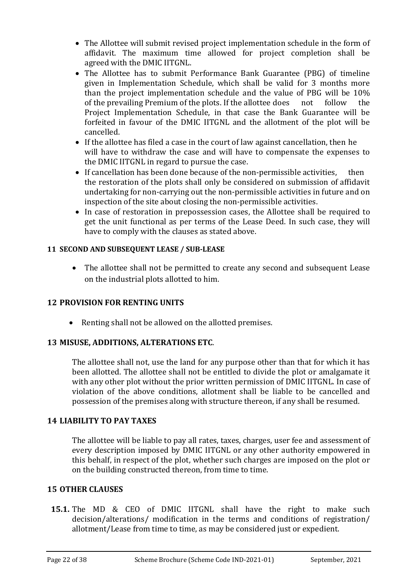- The Allottee will submit revised project implementation schedule in the form of affidavit. The maximum time allowed for project completion shall be agreed with the DMIC IITGNL.
- The Allottee has to submit Performance Bank Guarantee (PBG) of timeline given in Implementation Schedule, which shall be valid for 3 months more than the project implementation schedule and the value of PBG will be 10% of the prevailing Premium of the plots. If the allottee does not follow the Project Implementation Schedule, in that case the Bank Guarantee will be forfeited in favour of the DMIC IITGNL and the allotment of the plot will be cancelled.
- If the allottee has filed a case in the court of law against cancellation, then he will have to withdraw the case and will have to compensate the expenses to the DMIC IITGNL in regard to pursue the case.
- If cancellation has been done because of the non-permissible activities, then the restoration of the plots shall only be considered on submission of affidavit undertaking for non-carrying out the non-permissible activities in future and on inspection of the site about closing the non-permissible activities.
- In case of restoration in prepossession cases, the Allottee shall be required to get the unit functional as per terms of the Lease Deed. In such case, they will have to comply with the clauses as stated above.

### **11 SECOND AND SUBSEQUENT LEASE / SUB-LEASE**

• The allottee shall not be permitted to create any second and subsequent Lease on the industrial plots allotted to him.

## **12 PROVISION FOR RENTING UNITS**

• Renting shall not be allowed on the allotted premises.

## **13 MISUSE, ADDITIONS, ALTERATIONS ETC**.

The allottee shall not, use the land for any purpose other than that for which it has been allotted. The allottee shall not be entitled to divide the plot or amalgamate it with any other plot without the prior written permission of DMIC IITGNL. In case of violation of the above conditions, allotment shall be liable to be cancelled and possession of the premises along with structure thereon, if any shall be resumed.

## **14 LIABILITY TO PAY TAXES**

The allottee will be liable to pay all rates, taxes, charges, user fee and assessment of every description imposed by DMIC IITGNL or any other authority empowered in this behalf, in respect of the plot, whether such charges are imposed on the plot or on the building constructed thereon, from time to time.

#### **15 OTHER CLAUSES**

**15.1.** The MD & CEO of DMIC IITGNL shall have the right to make such decision/alterations/ modification in the terms and conditions of registration/ allotment/Lease from time to time, as may be considered just or expedient.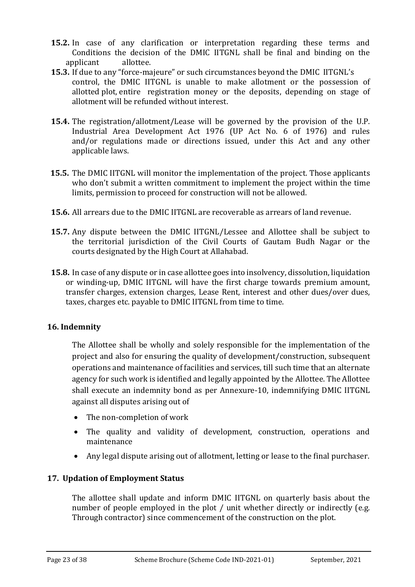- **15.2.** In case of any clarification or interpretation regarding these terms and Conditions the decision of the DMIC IITGNL shall be final and binding on the applicant allottee.
- **15.3.** If due to any "force-majeure" or such circumstances beyond the DMIC IITGNL's control, the DMIC IITGNL is unable to make allotment or the possession of allotted plot, entire registration money or the deposits, depending on stage of allotment will be refunded without interest.
- **15.4.** The registration/allotment/Lease will be governed by the provision of the U.P. Industrial Area Development Act 1976 (UP Act No. 6 of 1976) and rules and/or regulations made or directions issued, under this Act and any other applicable laws.
- **15.5.** The DMIC IITGNL will monitor the implementation of the project. Those applicants who don't submit a written commitment to implement the project within the time limits, permission to proceed for construction will not be allowed.
- **15.6.** All arrears due to the DMIC IITGNL are recoverable as arrears of land revenue.
- **15.7.** Any dispute between the DMIC IITGNL/Lessee and Allottee shall be subject to the territorial jurisdiction of the Civil Courts of Gautam Budh Nagar or the courts designated by the High Court at Allahabad.
- **15.8.** In case of any dispute or in case allottee goes into insolvency, dissolution, liquidation or winding-up, DMIC IITGNL will have the first charge towards premium amount, transfer charges, extension charges, Lease Rent, interest and other dues/over dues, taxes, charges etc. payable to DMIC IITGNL from time to time.

## **16. Indemnity**

The Allottee shall be wholly and solely responsible for the implementation of the project and also for ensuring the quality of development/construction, subsequent operations and maintenance of facilities and services, till such time that an alternate agency for such work is identified and legally appointed by the Allottee. The Allottee shall execute an indemnity bond as per Annexure-10, indemnifying DMIC IITGNL against all disputes arising out of

- The non-completion of work
- The quality and validity of development, construction, operations and maintenance
- Any legal dispute arising out of allotment, letting or lease to the final purchaser.

## **17. Updation of Employment Status**

The allottee shall update and inform DMIC IITGNL on quarterly basis about the number of people employed in the plot / unit whether directly or indirectly (e.g. Through contractor) since commencement of the construction on the plot.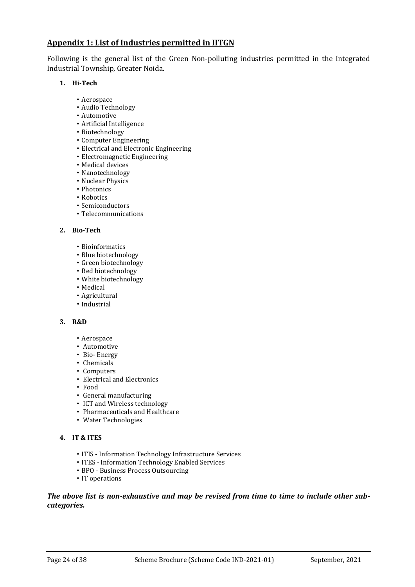#### **Appendix 1: List of Industries permitted in IITGN**

Following is the general list of the Green Non-polluting industries permitted in the Integrated Industrial Township, Greater Noida.

#### **1. Hi-Tech**

- Aerospace
- Audio Technology
- Automotive
- Artificial Intelligence
- Biotechnology
- Computer Engineering
- Electrical and Electronic Engineering
- Electromagnetic Engineering
- Medical devices
- Nanotechnology
- Nuclear Physics
- Photonics
- Robotics
- Semiconductors
- Telecommunications

#### **2. Bio-Tech**

- Bioinformatics
- Blue biotechnology
- Green biotechnology
- Red biotechnology
- White biotechnology
- Medical
- Agricultural
- Industrial

#### **3. R&D**

- Aerospace
- Automotive
- Bio- Energy
- Chemicals
- Computers
- Electrical and Electronics
- Food
- General manufacturing
- ICT and Wireless technology
- Pharmaceuticals and Healthcare
- Water Technologies

#### **4. IT & ITES**

- ITIS Information Technology Infrastructure Services
- ITES Information Technology Enabled Services
- BPO Business Process Outsourcing
- IT operations

#### *The above list is non-exhaustive and may be revised from time to time to include other subcategories.*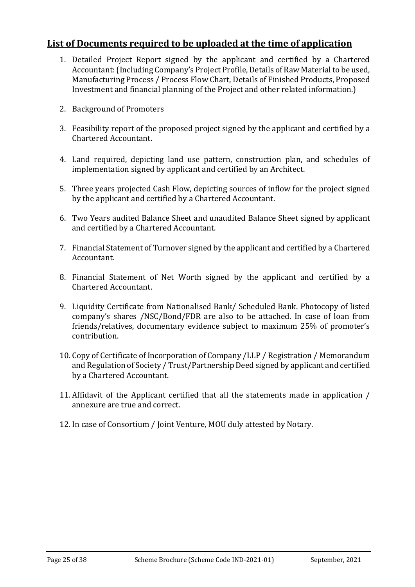## **List of Documents required to be uploaded at the time of application**

- 1. Detailed Project Report signed by the applicant and certified by a Chartered Accountant: (Including Company's Project Profile, Details of Raw Material to be used, Manufacturing Process / Process Flow Chart, Details of Finished Products, Proposed Investment and financial planning of the Project and other related information.)
- 2. Background of Promoters
- 3. Feasibility report of the proposed project signed by the applicant and certified by a Chartered Accountant.
- 4. Land required, depicting land use pattern, construction plan, and schedules of implementation signed by applicant and certified by an Architect.
- 5. Three years projected Cash Flow, depicting sources of inflow for the project signed by the applicant and certified by a Chartered Accountant.
- 6. Two Years audited Balance Sheet and unaudited Balance Sheet signed by applicant and certified by a Chartered Accountant.
- 7. Financial Statement of Turnover signed by the applicant and certified by a Chartered Accountant.
- 8. Financial Statement of Net Worth signed by the applicant and certified by a Chartered Accountant.
- 9. Liquidity Certificate from Nationalised Bank/ Scheduled Bank. Photocopy of listed company's shares /NSC/Bond/FDR are also to be attached. In case of loan from friends/relatives, documentary evidence subject to maximum 25% of promoter's contribution.
- 10. Copy of Certificate of Incorporation of Company /LLP / Registration / Memorandum and Regulation of Society / Trust/Partnership Deed signed by applicant and certified by a Chartered Accountant.
- 11. Affidavit of the Applicant certified that all the statements made in application / annexure are true and correct.
- 12. In case of Consortium / Joint Venture, MOU duly attested by Notary.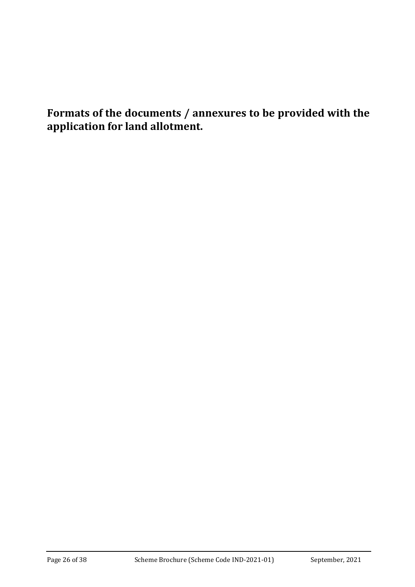**Formats of the documents / annexures to be provided with the application for land allotment.**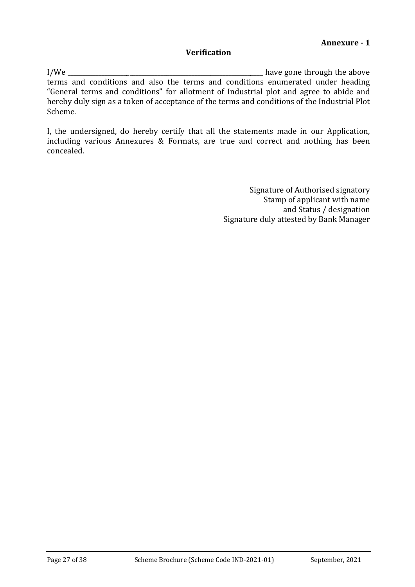#### **Verification**

I/We \_\_\_\_\_\_\_\_\_\_\_\_\_\_\_\_\_\_\_\_\_\_\_\_\_\_\_\_\_\_\_\_\_\_\_\_\_\_\_\_\_\_\_\_\_\_\_\_\_\_\_\_\_\_\_\_\_\_\_\_\_\_\_ have gone through the above terms and conditions and also the terms and conditions enumerated under heading "General terms and conditions" for allotment of Industrial plot and agree to abide and hereby duly sign as a token of acceptance of the terms and conditions of the Industrial Plot Scheme.

I, the undersigned, do hereby certify that all the statements made in our Application, including various Annexures & Formats, are true and correct and nothing has been concealed.

> Signature of Authorised signatory Stamp of applicant with name and Status / designation Signature duly attested by Bank Manager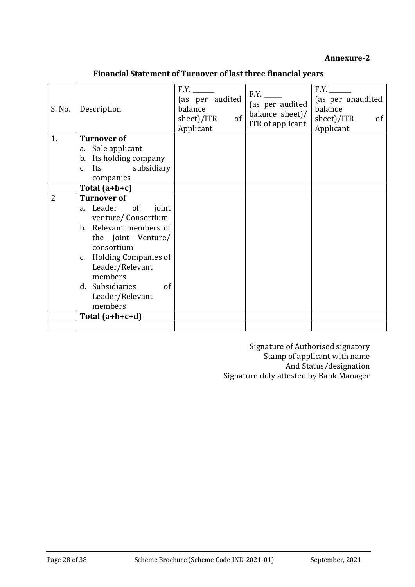#### **Annexure-2**

| S. No.         | Description                                 | F.Y.<br>(as per audited<br>balance<br>of<br>sheet)/ITR<br>Applicant | F.Y.<br>(as per audited<br>balance sheet)/<br>ITR of applicant | F.Y.<br>(as per unaudited<br>balance<br>sheet)/ITR<br>of<br>Applicant |
|----------------|---------------------------------------------|---------------------------------------------------------------------|----------------------------------------------------------------|-----------------------------------------------------------------------|
| 1.             | <b>Turnover of</b>                          |                                                                     |                                                                |                                                                       |
|                | a. Sole applicant<br>b. Its holding company |                                                                     |                                                                |                                                                       |
|                | c. Its subsidiary                           |                                                                     |                                                                |                                                                       |
|                | companies                                   |                                                                     |                                                                |                                                                       |
|                | Total $(a+b+c)$                             |                                                                     |                                                                |                                                                       |
| $\overline{2}$ | <b>Turnover of</b>                          |                                                                     |                                                                |                                                                       |
|                | a. Leader of<br>joint                       |                                                                     |                                                                |                                                                       |
|                | venture/Consortium                          |                                                                     |                                                                |                                                                       |
|                | b. Relevant members of                      |                                                                     |                                                                |                                                                       |
|                | the Joint Venture/<br>consortium            |                                                                     |                                                                |                                                                       |
|                | c. Holding Companies of                     |                                                                     |                                                                |                                                                       |
|                | Leader/Relevant                             |                                                                     |                                                                |                                                                       |
|                | members                                     |                                                                     |                                                                |                                                                       |
|                | d. Subsidiaries<br>of                       |                                                                     |                                                                |                                                                       |
|                | Leader/Relevant                             |                                                                     |                                                                |                                                                       |
|                | members                                     |                                                                     |                                                                |                                                                       |
|                | Total $(a+b+c+d)$                           |                                                                     |                                                                |                                                                       |
|                |                                             |                                                                     |                                                                |                                                                       |

Signature of Authorised signatory Stamp of applicant with name And Status/designation Signature duly attested by Bank Manager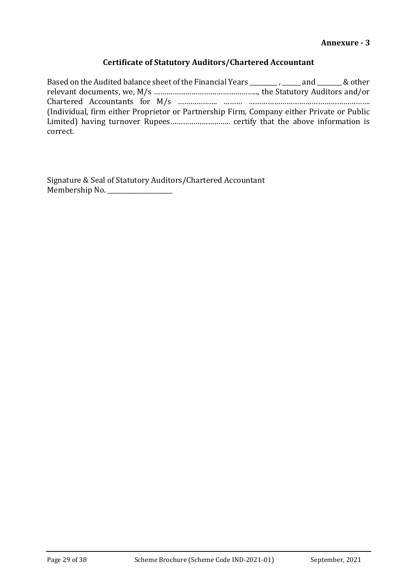#### **Certificate of Statutory Auditors/Chartered Accountant**

Based on the Audited balance sheet of the Financial Years \_\_\_\_\_\_\_\_, \_\_\_\_\_\_ and \_\_\_\_\_\_\_ & other relevant documents, we, M/s ………………………………………….., the Statutory Auditors and/or Chartered Accountants for M/s ………………. ……… …………………………………………………. (Individual, firm either Proprietor or Partnership Firm, Company either Private or Public Limited) having turnover Rupees……………………….. certify that the above information is correct.

Signature & Seal of Statutory Auditors/Chartered Accountant Membership No. \_\_\_\_\_\_\_\_\_\_\_\_\_\_\_\_\_\_\_\_\_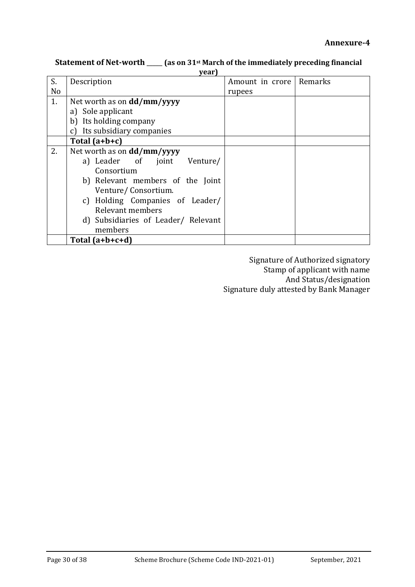|                | year)                               |                 |         |  |  |  |  |
|----------------|-------------------------------------|-----------------|---------|--|--|--|--|
| S.             | Description                         | Amount in crore | Remarks |  |  |  |  |
| N <sub>o</sub> |                                     | rupees          |         |  |  |  |  |
| 1.             | Net worth as on dd/mm/yyyy          |                 |         |  |  |  |  |
|                | a) Sole applicant                   |                 |         |  |  |  |  |
|                | b) Its holding company              |                 |         |  |  |  |  |
|                | Its subsidiary companies<br>c)      |                 |         |  |  |  |  |
|                | Total $(a+b+c)$                     |                 |         |  |  |  |  |
| 2.             | Net worth as on <b>dd/mm/yyyy</b>   |                 |         |  |  |  |  |
|                | a) Leader of joint<br>Venture/      |                 |         |  |  |  |  |
|                | Consortium                          |                 |         |  |  |  |  |
|                | b) Relevant members of the Joint    |                 |         |  |  |  |  |
|                | Venture/Consortium.                 |                 |         |  |  |  |  |
|                | c) Holding Companies of Leader/     |                 |         |  |  |  |  |
|                | Relevant members                    |                 |         |  |  |  |  |
|                | d) Subsidiaries of Leader/ Relevant |                 |         |  |  |  |  |
|                | members                             |                 |         |  |  |  |  |
|                | Total $(a+b+c+d)$                   |                 |         |  |  |  |  |

#### **Statement of Net-worth** \_\_\_\_\_ **(as on 31st March of the immediately preceding financial year)**

Signature of Authorized signatory Stamp of applicant with name And Status/designation Signature duly attested by Bank Manager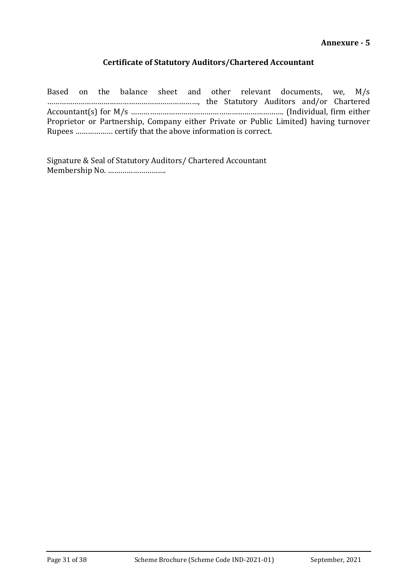#### **Certificate of Statutory Auditors/Chartered Accountant**

Based on the balance sheet and other relevant documents, we, M/s ………………………………………………………………, the Statutory Auditors and/or Chartered Accountant(s) for M/s ………………………………………………………………. (Individual, firm either Proprietor or Partnership, Company either Private or Public Limited) having turnover Rupees ……………… certify that the above information is correct.

Signature & Seal of Statutory Auditors/ Chartered Accountant Membership No. ……………………….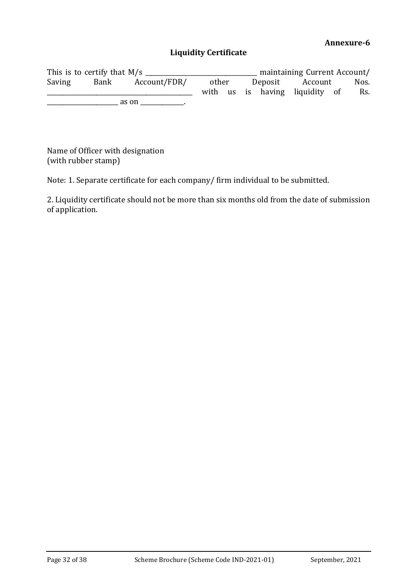#### **Liquidity Certificate**

This is to certify that M/s \_\_\_\_\_\_\_\_\_\_\_\_\_\_\_\_\_\_\_\_\_\_\_\_\_\_\_\_\_\_\_\_\_\_\_\_ maintaining Current Account/ Saving Bank Account/FDR/ other Deposit Account Nos. \_\_\_\_\_\_\_\_\_\_\_\_\_\_\_\_\_\_\_\_\_\_\_\_\_\_\_\_\_\_\_\_\_\_\_\_\_\_\_\_\_\_\_\_\_\_\_ with us is having liquidity of Rs.  $\frac{1}{2}$  as on  $\frac{1}{2}$ .

Name of Officer with designation (with rubber stamp)

Note: 1. Separate certificate for each company/ firm individual to be submitted.

2. Liquidity certificate should not be more than six months old from the date of submission of application.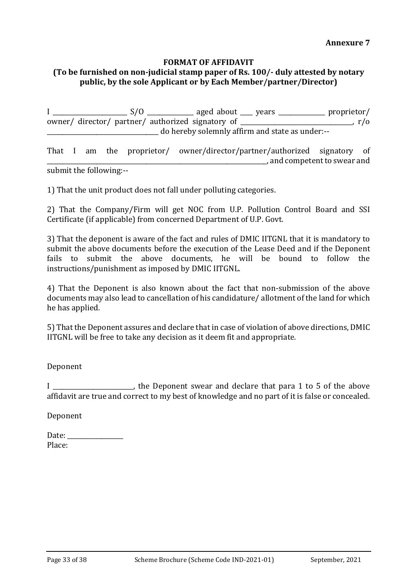#### **FORMAT OF AFFIDAVIT**

## **(To be furnished on non-judicial stamp paper of Rs. 100/- duly attested by notary public, by the sole Applicant or by Each Member/partner/Director)**

I \_\_\_\_\_\_\_\_\_\_\_\_\_\_\_\_\_\_\_\_\_\_\_\_ S/O \_\_\_\_\_\_\_\_\_\_\_\_\_\_\_ aged about \_\_\_\_ years \_\_\_\_\_\_\_\_\_\_\_\_\_\_\_ proprietor/ owner/ director/ partner/ authorized signatory of \_\_\_\_\_\_\_\_\_\_\_\_\_\_\_\_\_\_\_\_\_\_\_\_\_\_\_\_\_\_\_\_\_\_\_\_, r/o \_\_\_\_\_\_\_\_\_\_\_\_\_\_\_\_\_\_\_\_\_\_\_\_\_\_\_\_\_\_\_\_\_\_\_\_ do hereby solemnly affirm and state as under:--

That I am the proprietor/ owner/director/partner/authorized signatory of \_\_\_\_\_\_\_\_\_\_\_\_\_\_\_\_\_\_\_\_\_\_\_\_\_\_\_\_\_\_\_\_\_\_\_\_\_\_\_\_\_\_\_\_\_\_\_\_\_\_\_\_\_\_\_\_\_\_\_\_\_\_\_\_\_\_\_\_\_\_\_, and competent to swear and

submit the following:--

1) That the unit product does not fall under polluting categories.

2) That the Company/Firm will get NOC from U.P. Pollution Control Board and SSI Certificate (if applicable) from concerned Department of U.P. Govt.

3) That the deponent is aware of the fact and rules of DMIC IITGNL that it is mandatory to submit the above documents before the execution of the Lease Deed and if the Deponent fails to submit the above documents, he will be bound to follow the instructions/punishment as imposed by DMIC IITGNL.

4) That the Deponent is also known about the fact that non-submission of the above documents may also lead to cancellation of his candidature/ allotment of the land for which he has applied.

5) That the Deponent assures and declare that in case of violation of above directions, DMIC IITGNL will be free to take any decision as it deem fit and appropriate.

Deponent

I consider the Deponent swear and declare that para 1 to 5 of the above affidavit are true and correct to my best of knowledge and no part of it is false or concealed.

Deponent

| Date:  |  |
|--------|--|
| Place: |  |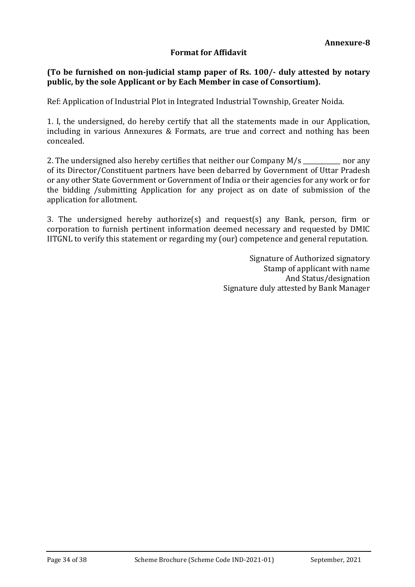#### **Format for Affidavit**

#### **(To be furnished on non-judicial stamp paper of Rs. 100/- duly attested by notary public, by the sole Applicant or by Each Member in case of Consortium).**

Ref: Application of Industrial Plot in Integrated Industrial Township, Greater Noida.

1. I, the undersigned, do hereby certify that all the statements made in our Application, including in various Annexures & Formats, are true and correct and nothing has been concealed.

2. The undersigned also hereby certifies that neither our Company M/s \_\_\_\_\_\_\_\_\_\_ nor any of its Director/Constituent partners have been debarred by Government of Uttar Pradesh or any other State Government or Government of India or their agencies for any work or for the bidding /submitting Application for any project as on date of submission of the application for allotment.

3. The undersigned hereby authorize(s) and request(s) any Bank, person, firm or corporation to furnish pertinent information deemed necessary and requested by DMIC IITGNL to verify this statement or regarding my (our) competence and general reputation.

> Signature of Authorized signatory Stamp of applicant with name And Status/designation Signature duly attested by Bank Manager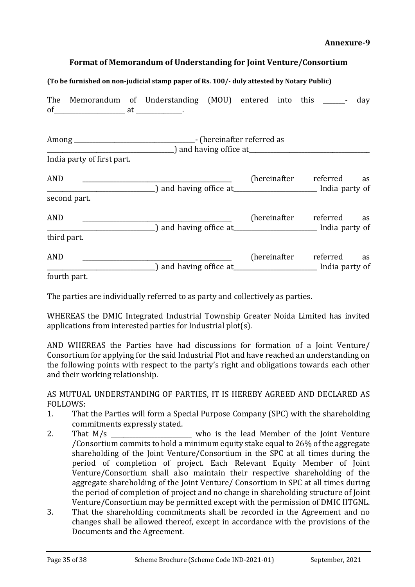#### **Annexure-9**

#### **Format of Memorandum of Understanding for Joint Venture/Consortium**

#### **(To be furnished on non-judicial stamp paper of Rs. 100/- duly attested by Notary Public)**

| of $at$ $\ldots$           | The Memorandum of Understanding (MOU) entered into this _______-                                                | day                         |
|----------------------------|-----------------------------------------------------------------------------------------------------------------|-----------------------------|
| India party of first part. | $\Box$ and having office at $\Box$                                                                              |                             |
| <b>AND</b>                 | 10 molecular meta. The set of the contract of the contract of the contract of the contract of the contract of t | (hereinafter referred<br>as |
| second part.<br><b>AND</b> | 10 minutes and having office at 100 minutes and india party of                                                  | (hereinafter referred<br>as |
| third part.<br><b>AND</b>  | and having office at <b>If the Senator Contract Contract and Senator</b> India party of                         | (hereinafter referred<br>as |
| fourth part.               |                                                                                                                 |                             |

The parties are individually referred to as party and collectively as parties.

WHEREAS the DMIC Integrated Industrial Township Greater Noida Limited has invited applications from interested parties for Industrial plot(s).

AND WHEREAS the Parties have had discussions for formation of a Joint Venture/ Consortium for applying for the said Industrial Plot and have reached an understanding on the following points with respect to the party's right and obligations towards each other and their working relationship.

AS MUTUAL UNDERSTANDING OF PARTIES, IT IS HEREBY AGREED AND DECLARED AS FOLLOWS:

- 1. That the Parties will form a Special Purpose Company (SPC) with the shareholding commitments expressly stated.
- 2. That M/s because the lead Member of the Joint Venture /Consortium commits to hold a minimum equity stake equal to 26% of the aggregate shareholding of the Joint Venture/Consortium in the SPC at all times during the period of completion of project. Each Relevant Equity Member of Joint Venture/Consortium shall also maintain their respective shareholding of the aggregate shareholding of the Joint Venture/ Consortium in SPC at all times during the period of completion of project and no change in shareholding structure of Joint Venture/Consortium may be permitted except with the permission of DMIC IITGNL.
- 3. That the shareholding commitments shall be recorded in the Agreement and no changes shall be allowed thereof, except in accordance with the provisions of the Documents and the Agreement.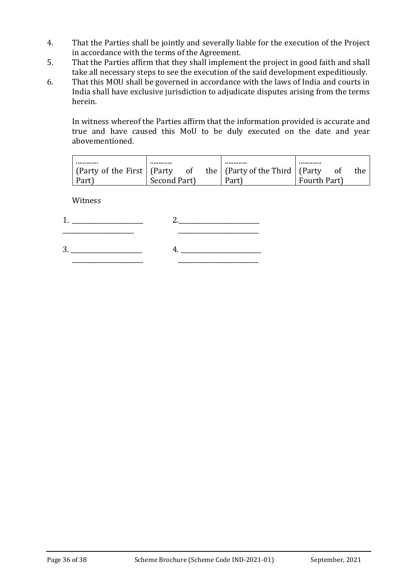- 4. That the Parties shall be jointly and severally liable for the execution of the Project in accordance with the terms of the Agreement.
- 5. That the Parties affirm that they shall implement the project in good faith and shall take all necessary steps to see the execution of the said development expeditiously.
- 6. That this MOU shall be governed in accordance with the laws of India and courts in India shall have exclusive jurisdiction to adjudicate disputes arising from the terms herein.

In witness whereof the Parties affirm that the information provided is accurate and true and have caused this MoU to be duly executed on the date and year abovementioned.

| (Party of the First   (Party |              | - of | the   (Party of the Third   (Party |              | the |
|------------------------------|--------------|------|------------------------------------|--------------|-----|
| Part)                        | Second Part) |      | Part)                              | Fourth Part) |     |

Witness

 $1.$  2. \_\_\_\_\_\_\_\_\_\_\_\_\_\_\_\_\_\_\_\_\_\_\_ \_\_\_\_\_\_\_\_\_\_\_\_\_\_\_\_\_\_\_\_\_\_\_\_\_\_

3. \_\_\_\_\_\_\_\_\_\_\_\_\_\_\_\_\_\_\_\_\_\_\_ 4. \_\_\_\_\_\_\_\_\_\_\_\_\_\_\_\_\_\_\_\_\_\_\_\_\_\_ \_\_\_\_\_\_\_\_\_\_\_\_\_\_\_\_\_\_\_\_\_\_\_ \_\_\_\_\_\_\_\_\_\_\_\_\_\_\_\_\_\_\_\_\_\_\_\_\_\_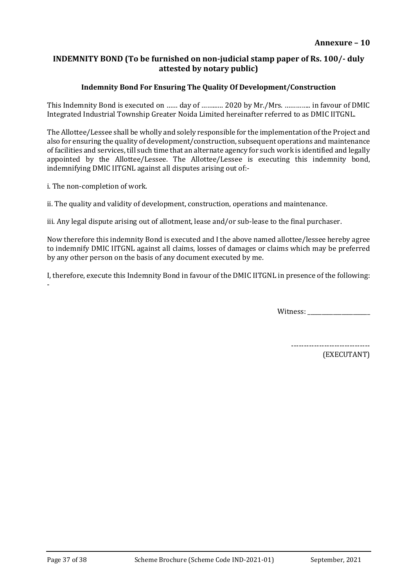#### **INDEMNITY BOND (To be furnished on non-judicial stamp paper of Rs. 100/- duly attested by notary public)**

#### **Indemnity Bond For Ensuring The Quality Of Development/Construction**

This Indemnity Bond is executed on …… day of ……..…. 2020 by Mr./Mrs. ………….. in favour of DMIC Integrated Industrial Township Greater Noida Limited hereinafter referred to as DMIC IITGNL.

The Allottee/Lessee shall be wholly and solely responsible for the implementation of the Project and also for ensuring the quality of development/construction, subsequent operations and maintenance of facilities and services, till such time that an alternate agency for such work is identified and legally appointed by the Allottee/Lessee. The Allottee/Lessee is executing this indemnity bond, indemnifying DMIC IITGNL against all disputes arising out of:-

i. The non-completion of work.

ii. The quality and validity of development, construction, operations and maintenance.

iii. Any legal dispute arising out of allotment, lease and/or sub-lease to the final purchaser.

Now therefore this indemnity Bond is executed and I the above named allottee/lessee hereby agree to indemnify DMIC IITGNL against all claims, losses of damages or claims which may be preferred by any other person on the basis of any document executed by me.

I, therefore, execute this Indemnity Bond in favour of the DMIC IITGNL in presence of the following: -

Witness:

-------------------------------

(EXECUTANT)